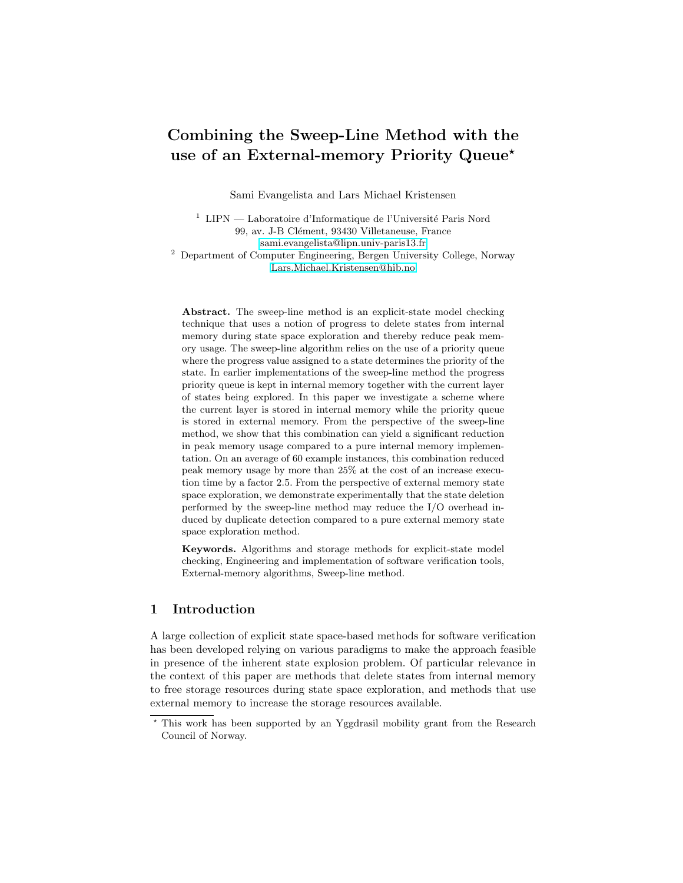# Combining the Sweep-Line Method with the use of an External-memory Priority Queue\*

Sami Evangelista and Lars Michael Kristensen

<sup>1</sup> LIPN — Laboratoire d'Informatique de l'Université Paris Nord 99, av. J-B Clément, 93430 Villetaneuse, France [sami.evangelista@lipn.univ-paris13.fr](mailto:sami.evangelista@lipn.univ-paris13.fr) <sup>2</sup> Department of Computer Engineering, Bergen University College, Norway [Lars.Michael.Kristensen@hib.no](mailto:Lars.Michael.Kristensen@hib.no)

Abstract. The sweep-line method is an explicit-state model checking technique that uses a notion of progress to delete states from internal memory during state space exploration and thereby reduce peak memory usage. The sweep-line algorithm relies on the use of a priority queue where the progress value assigned to a state determines the priority of the state. In earlier implementations of the sweep-line method the progress priority queue is kept in internal memory together with the current layer of states being explored. In this paper we investigate a scheme where the current layer is stored in internal memory while the priority queue is stored in external memory. From the perspective of the sweep-line method, we show that this combination can yield a significant reduction in peak memory usage compared to a pure internal memory implementation. On an average of 60 example instances, this combination reduced peak memory usage by more than 25% at the cost of an increase execution time by a factor 2.5. From the perspective of external memory state space exploration, we demonstrate experimentally that the state deletion performed by the sweep-line method may reduce the I/O overhead induced by duplicate detection compared to a pure external memory state space exploration method.

Keywords. Algorithms and storage methods for explicit-state model checking, Engineering and implementation of software verification tools, External-memory algorithms, Sweep-line method.

# 1 Introduction

A large collection of explicit state space-based methods for software verification has been developed relying on various paradigms to make the approach feasible in presence of the inherent state explosion problem. Of particular relevance in the context of this paper are methods that delete states from internal memory to free storage resources during state space exploration, and methods that use external memory to increase the storage resources available.

<sup>?</sup> This work has been supported by an Yggdrasil mobility grant from the Research Council of Norway.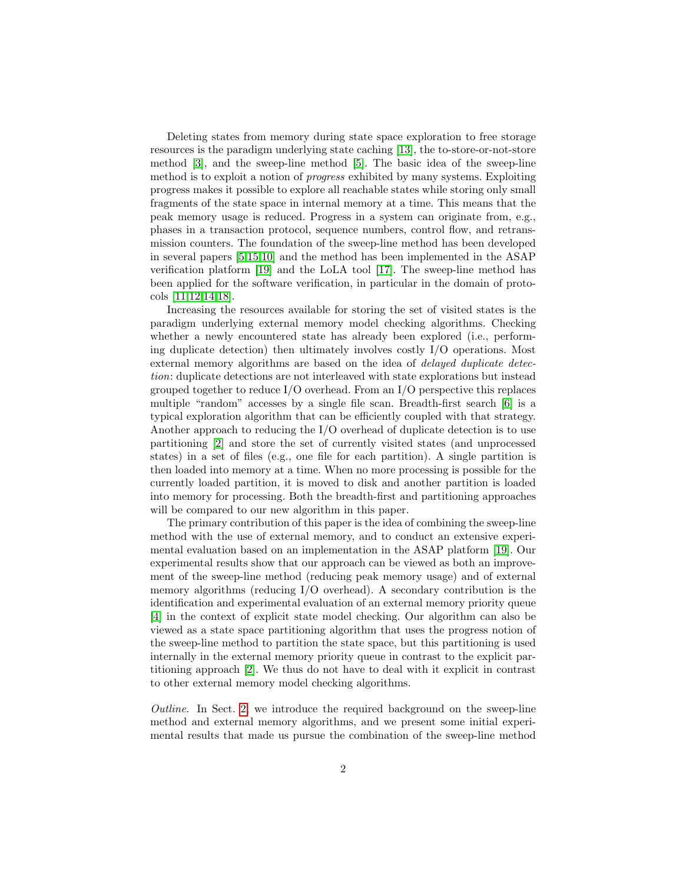Deleting states from memory during state space exploration to free storage resources is the paradigm underlying state caching [\[13\]](#page-17-0), the to-store-or-not-store method [\[3\]](#page-16-0), and the sweep-line method [\[5\]](#page-16-1). The basic idea of the sweep-line method is to exploit a notion of progress exhibited by many systems. Exploiting progress makes it possible to explore all reachable states while storing only small fragments of the state space in internal memory at a time. This means that the peak memory usage is reduced. Progress in a system can originate from, e.g., phases in a transaction protocol, sequence numbers, control flow, and retransmission counters. The foundation of the sweep-line method has been developed in several papers [\[5,](#page-16-1)[15,](#page-17-1)[10\]](#page-16-2) and the method has been implemented in the ASAP verification platform [\[19\]](#page-17-2) and the LoLA tool [\[17\]](#page-17-3). The sweep-line method has been applied for the software verification, in particular in the domain of protocols [\[11,](#page-16-3)[12](#page-16-4)[,14](#page-17-4)[,18\]](#page-17-5).

Increasing the resources available for storing the set of visited states is the paradigm underlying external memory model checking algorithms. Checking whether a newly encountered state has already been explored (i.e., performing duplicate detection) then ultimately involves costly I/O operations. Most external memory algorithms are based on the idea of *delayed duplicate detec*tion: duplicate detections are not interleaved with state explorations but instead grouped together to reduce  $I/O$  overhead. From an  $I/O$  perspective this replaces multiple "random" accesses by a single file scan. Breadth-first search [\[6\]](#page-16-5) is a typical exploration algorithm that can be efficiently coupled with that strategy. Another approach to reducing the I/O overhead of duplicate detection is to use partitioning [\[2\]](#page-16-6) and store the set of currently visited states (and unprocessed states) in a set of files (e.g., one file for each partition). A single partition is then loaded into memory at a time. When no more processing is possible for the currently loaded partition, it is moved to disk and another partition is loaded into memory for processing. Both the breadth-first and partitioning approaches will be compared to our new algorithm in this paper.

The primary contribution of this paper is the idea of combining the sweep-line method with the use of external memory, and to conduct an extensive experimental evaluation based on an implementation in the ASAP platform [\[19\]](#page-17-2). Our experimental results show that our approach can be viewed as both an improvement of the sweep-line method (reducing peak memory usage) and of external memory algorithms (reducing I/O overhead). A secondary contribution is the identification and experimental evaluation of an external memory priority queue [\[4\]](#page-16-7) in the context of explicit state model checking. Our algorithm can also be viewed as a state space partitioning algorithm that uses the progress notion of the sweep-line method to partition the state space, but this partitioning is used internally in the external memory priority queue in contrast to the explicit partitioning approach [\[2\]](#page-16-6). We thus do not have to deal with it explicit in contrast to other external memory model checking algorithms.

Outline. In Sect. [2,](#page-2-0) we introduce the required background on the sweep-line method and external memory algorithms, and we present some initial experimental results that made us pursue the combination of the sweep-line method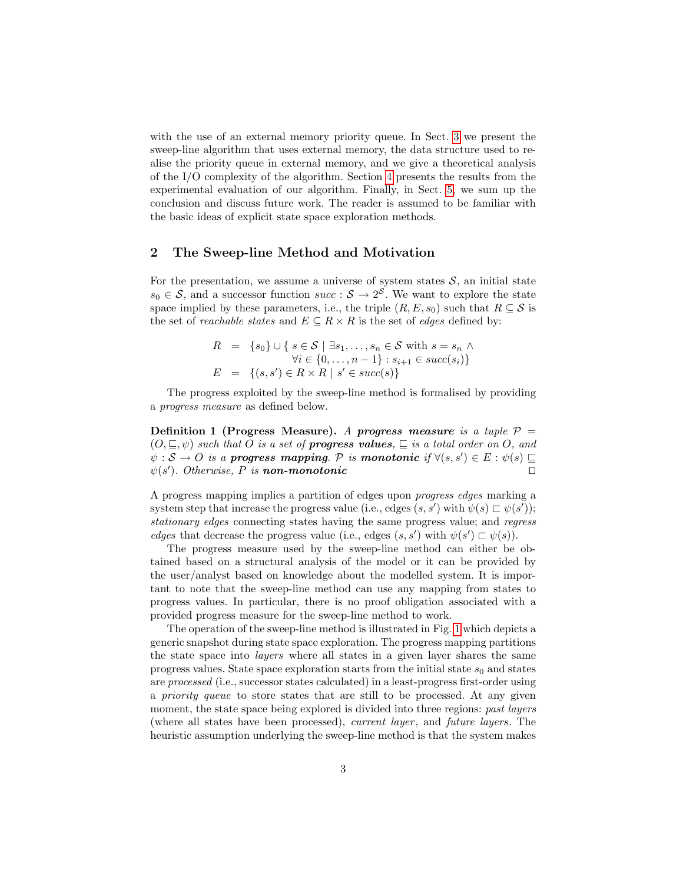with the use of an external memory priority queue. In Sect. [3](#page-5-0) we present the sweep-line algorithm that uses external memory, the data structure used to realise the priority queue in external memory, and we give a theoretical analysis of the I/O complexity of the algorithm. Section [4](#page-10-0) presents the results from the experimental evaluation of our algorithm. Finally, in Sect. [5,](#page-15-0) we sum up the conclusion and discuss future work. The reader is assumed to be familiar with the basic ideas of explicit state space exploration methods.

# <span id="page-2-0"></span>2 The Sweep-line Method and Motivation

For the presentation, we assume a universe of system states  $S$ , an initial state  $s_0 \in \mathcal{S}$ , and a successor function  $succ : \mathcal{S} \to 2^{\mathcal{S}}$ . We want to explore the state space implied by these parameters, i.e., the triple  $(R, E, s_0)$  such that  $R \subset S$  is the set of *reachable states* and  $E \subseteq R \times R$  is the set of *edges* defined by:

$$
R = \{s_0\} \cup \{ s \in S \mid \exists s_1, \dots, s_n \in S \text{ with } s = s_n \land \forall i \in \{0, \dots, n-1\} : s_{i+1} \in succ(s_i) \}
$$
  

$$
E = \{ (s, s') \in R \times R \mid s' \in succ(s) \}
$$

The progress exploited by the sweep-line method is formalised by providing a progress measure as defined below.

Definition 1 (Progress Measure). A progress measure is a tuple  $\mathcal{P} =$  $(0, \subseteq, \psi)$  such that O is a set of **progress values**,  $\subseteq$  is a total order on O, and  $\psi : \mathcal{S} \to O$  is a progress mapping. P is monotonic if  $\forall (s, s') \in E : \psi(s) \sqsubseteq$  $\psi(s')$ . Otherwise, P is non-monotonic  $\square$ 

A progress mapping implies a partition of edges upon progress edges marking a system step that increase the progress value (i.e., edges  $(s, s')$  with  $\psi(s) \sqsubset \psi(s')$ ); stationary edges connecting states having the same progress value; and regress edges that decrease the progress value (i.e., edges  $(s, s')$  with  $\psi(s') \sqsubset \psi(s)$ ).

The progress measure used by the sweep-line method can either be obtained based on a structural analysis of the model or it can be provided by the user/analyst based on knowledge about the modelled system. It is important to note that the sweep-line method can use any mapping from states to progress values. In particular, there is no proof obligation associated with a provided progress measure for the sweep-line method to work.

The operation of the sweep-line method is illustrated in Fig. [1](#page-3-0) which depicts a generic snapshot during state space exploration. The progress mapping partitions the state space into layers where all states in a given layer shares the same progress values. State space exploration starts from the initial state  $s_0$  and states are processed (i.e., successor states calculated) in a least-progress first-order using a priority queue to store states that are still to be processed. At any given moment, the state space being explored is divided into three regions: *past layers* (where all states have been processed), *current layer*, and *future layers*. The heuristic assumption underlying the sweep-line method is that the system makes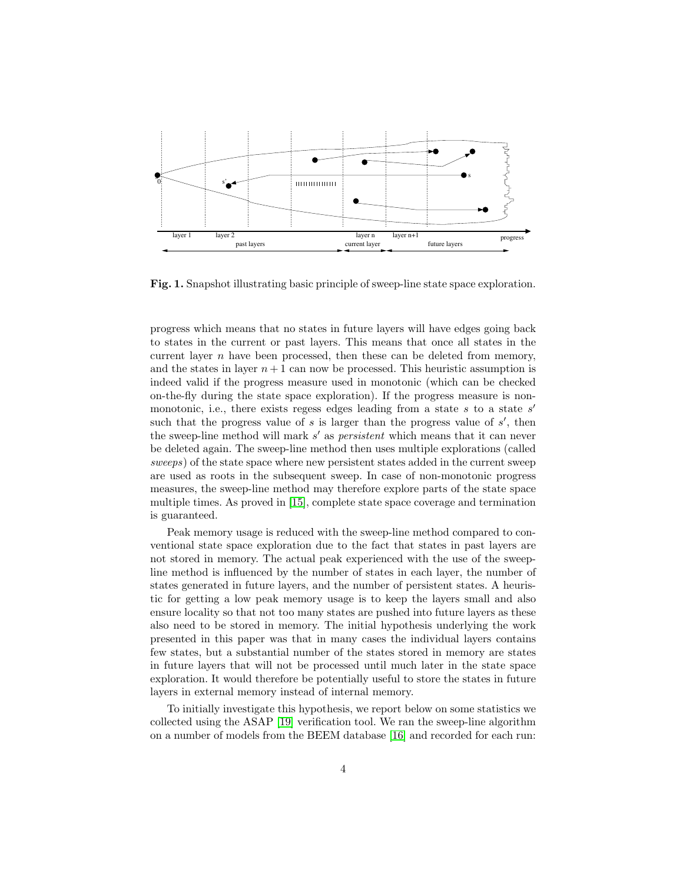

<span id="page-3-0"></span>Fig. 1. Snapshot illustrating basic principle of sweep-line state space exploration.

progress which means that no states in future layers will have edges going back to states in the current or past layers. This means that once all states in the current layer  $n$  have been processed, then these can be deleted from memory, and the states in layer  $n+1$  can now be processed. This heuristic assumption is indeed valid if the progress measure used in monotonic (which can be checked on-the-fly during the state space exploration). If the progress measure is nonmonotonic, i.e., there exists regess edges leading from a state  $s$  to a state  $s'$ such that the progress value of  $s$  is larger than the progress value of  $s'$ , then the sweep-line method will mark  $s'$  as *persistent* which means that it can never be deleted again. The sweep-line method then uses multiple explorations (called sweeps) of the state space where new persistent states added in the current sweep are used as roots in the subsequent sweep. In case of non-monotonic progress measures, the sweep-line method may therefore explore parts of the state space multiple times. As proved in [\[15\]](#page-17-1), complete state space coverage and termination is guaranteed.

Peak memory usage is reduced with the sweep-line method compared to conventional state space exploration due to the fact that states in past layers are not stored in memory. The actual peak experienced with the use of the sweepline method is influenced by the number of states in each layer, the number of states generated in future layers, and the number of persistent states. A heuristic for getting a low peak memory usage is to keep the layers small and also ensure locality so that not too many states are pushed into future layers as these also need to be stored in memory. The initial hypothesis underlying the work presented in this paper was that in many cases the individual layers contains few states, but a substantial number of the states stored in memory are states in future layers that will not be processed until much later in the state space exploration. It would therefore be potentially useful to store the states in future layers in external memory instead of internal memory.

To initially investigate this hypothesis, we report below on some statistics we collected using the ASAP [\[19\]](#page-17-2) verification tool. We ran the sweep-line algorithm on a number of models from the BEEM database [\[16\]](#page-17-6) and recorded for each run: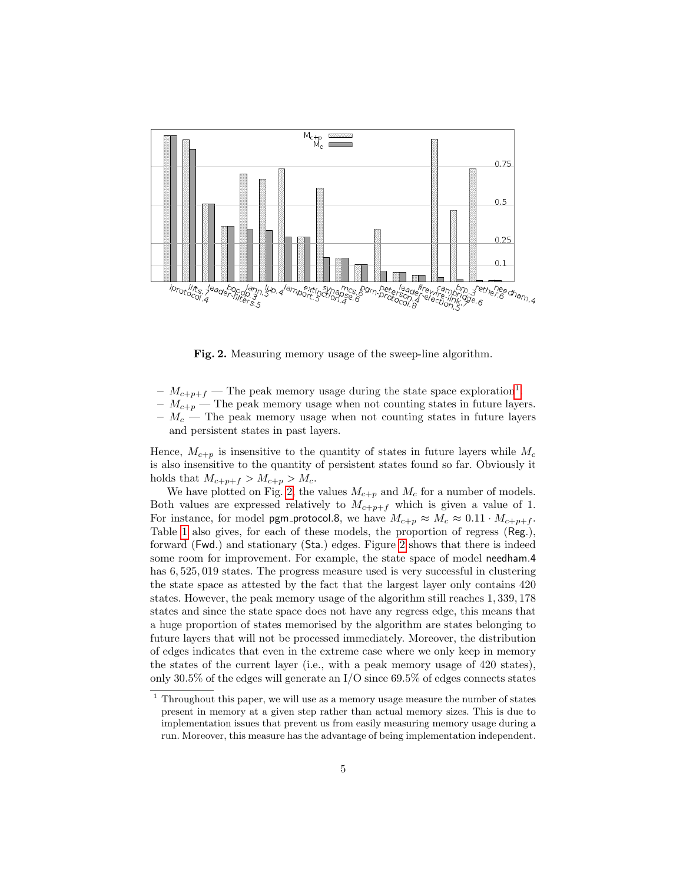

<span id="page-4-1"></span>Fig. 2. Measuring memory usage of the sweep-line algorithm.

- $M_{c+p+f}$  The peak memory usage during the state space exploration<sup>[1](#page-4-0)</sup>.
- $M_{c+p}$  The peak memory usage when not counting states in future layers. –  $M_c$  – The peak memory usage when not counting states in future layers and persistent states in past layers.

Hence,  $M_{c+p}$  is insensitive to the quantity of states in future layers while  $M_c$ is also insensitive to the quantity of persistent states found so far. Obviously it holds that  $M_{c+p+f} > M_{c+p} > M_c$ .

We have plotted on Fig. [2,](#page-4-1) the values  $M_{c+p}$  and  $M_c$  for a number of models. Both values are expressed relatively to  $M_{c+p+f}$  which is given a value of 1. For instance, for model **pgm** protocol.8, we have  $M_{c+p} \approx M_c \approx 0.11 \cdot M_{c+p+f}$ . Table [1](#page-5-1) also gives, for each of these models, the proportion of regress (Reg.), forward (Fwd.) and stationary (Sta.) edges. Figure [2](#page-4-1) shows that there is indeed some room for improvement. For example, the state space of model needham.4 has  $6,525,019$  states. The progress measure used is very successful in clustering the state space as attested by the fact that the largest layer only contains 420 states. However, the peak memory usage of the algorithm still reaches 1, 339, 178 states and since the state space does not have any regress edge, this means that a huge proportion of states memorised by the algorithm are states belonging to future layers that will not be processed immediately. Moreover, the distribution of edges indicates that even in the extreme case where we only keep in memory the states of the current layer (i.e., with a peak memory usage of 420 states), only 30.5% of the edges will generate an I/O since 69.5% of edges connects states

<span id="page-4-0"></span> $1$  Throughout this paper, we will use as a memory usage measure the number of states present in memory at a given step rather than actual memory sizes. This is due to implementation issues that prevent us from easily measuring memory usage during a run. Moreover, this measure has the advantage of being implementation independent.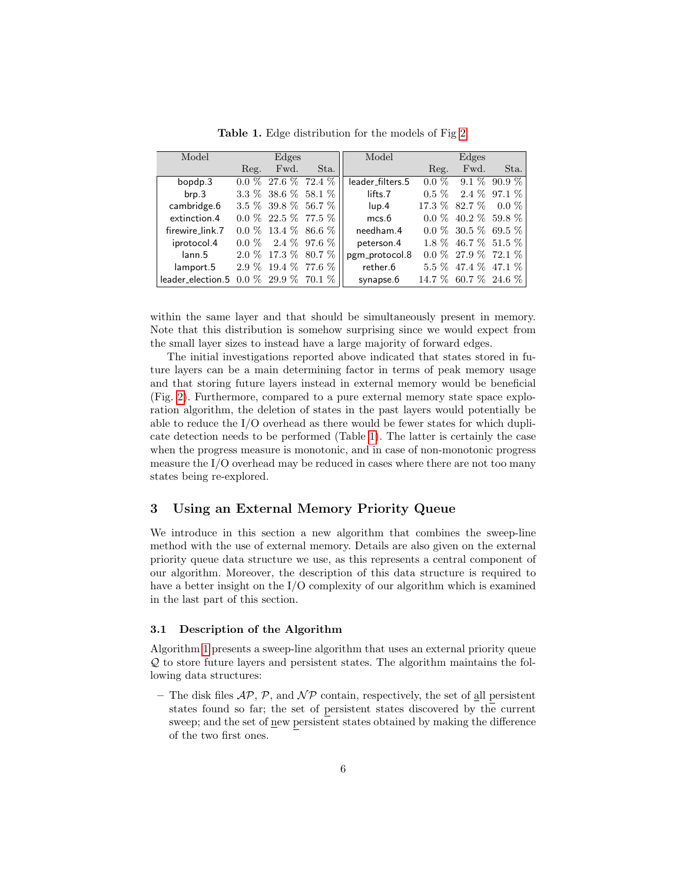<span id="page-5-1"></span>

| Model                                         |      | Edges                       |                              | Model            |          | Edges                       |      |
|-----------------------------------------------|------|-----------------------------|------------------------------|------------------|----------|-----------------------------|------|
|                                               | Reg. | Fwd.                        | Sta.                         |                  | Reg.     | Fwd.                        | Sta. |
| bopdp.3                                       |      | $0.0\%$ 27.6 $\%$ 72.4 $\%$ |                              | leader_filters.5 | $0.0 \%$ | $9.1\%$ 90.9 %              |      |
| brp.3                                         |      | $3.3\%$ 38.6 $\%$ 58.1 $\%$ |                              | lifts.7          |          | $0.5\%$ 2.4 % 97.1 %        |      |
| cambridge.6                                   |      |                             | 3.5 $\%$ 39.8 $\%$ 56.7 $\%$ | $\mu_{\rm D}$ .4 |          | 17.3 % 82.7 % 0.0 %         |      |
| extinction.4                                  |      | $0.0\%$ 22.5 % 77.5 %       |                              | mcs.6            |          | $0.0\%$ 40.2 % 59.8 %       |      |
| firewire_link.7                               |      | $0.0\%$ 13.4 % 86.6 %       |                              | needham.4        |          | $0.0\%$ 30.5 % 69.5 %       |      |
| iprotocol.4                                   |      |                             | $0.0\%$ 2.4 \% 97.6 \%       | peterson.4       |          | $1.8\%$ 46.7 % 51.5 %       |      |
| lann.5                                        |      |                             | $2.0\%$ 17.3 $\%$ 80.7 $\%$  | pgm_protocol.8   |          | $0.0\%$ 27.9 $\%$ 72.1 $\%$ |      |
| lamport.5                                     |      |                             | 2.9 % 19.4 % 77.6 %          | rether.6         |          | $5.5\%$ 47.4 $\%$ 47.1 $\%$ |      |
| leader_election.5 $0.0\%$ 29.9 $\%$ 70.1 $\%$ |      |                             |                              | synapse.6        |          | 14.7 % 60.7 % 24.6 %        |      |

Table 1. Edge distribution for the models of Fig [2.](#page-4-1)

within the same layer and that should be simultaneously present in memory. Note that this distribution is somehow surprising since we would expect from the small layer sizes to instead have a large majority of forward edges.

The initial investigations reported above indicated that states stored in future layers can be a main determining factor in terms of peak memory usage and that storing future layers instead in external memory would be beneficial (Fig. [2\)](#page-4-1). Furthermore, compared to a pure external memory state space exploration algorithm, the deletion of states in the past layers would potentially be able to reduce the I/O overhead as there would be fewer states for which duplicate detection needs to be performed (Table [1\)](#page-5-1). The latter is certainly the case when the progress measure is monotonic, and in case of non-monotonic progress measure the I/O overhead may be reduced in cases where there are not too many states being re-explored.

### <span id="page-5-0"></span>3 Using an External Memory Priority Queue

We introduce in this section a new algorithm that combines the sweep-line method with the use of external memory. Details are also given on the external priority queue data structure we use, as this represents a central component of our algorithm. Moreover, the description of this data structure is required to have a better insight on the I/O complexity of our algorithm which is examined in the last part of this section.

#### 3.1 Description of the Algorithm

Algorithm [1](#page-6-0) presents a sweep-line algorithm that uses an external priority queue Q to store future layers and persistent states. The algorithm maintains the following data structures:

– The disk files  $AP$ , P, and  $\mathcal{NP}$  contain, respectively, the set of all persistent states found so far; the set of persistent states discovered by the current sweep; and the set of new persistent states obtained by making the difference of the two first ones.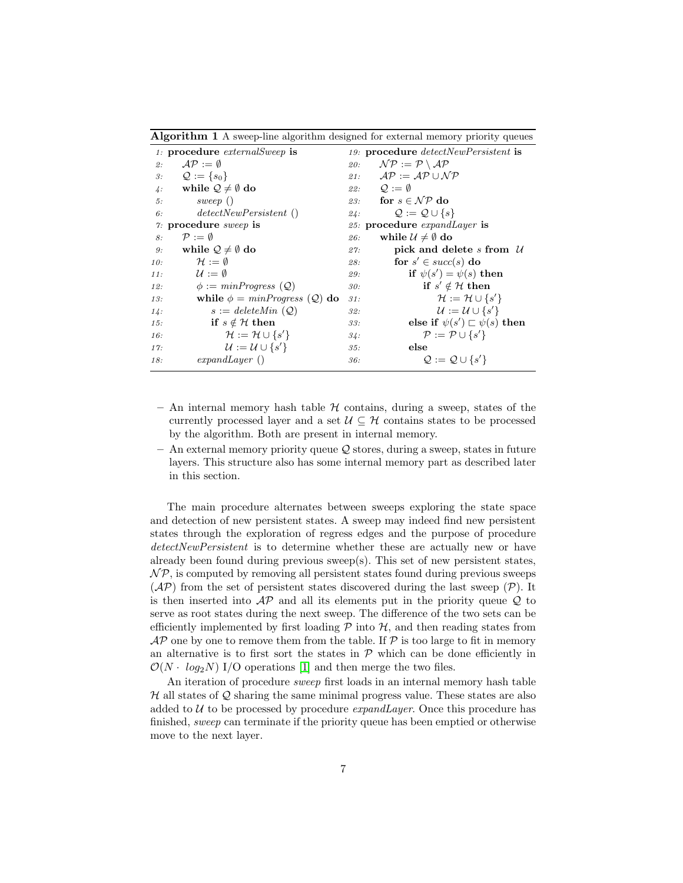Algorithm 1 A sweep-line algorithm designed for external memory priority queues

<span id="page-6-0"></span>

|                 | 1. procedure externalSweep is            |     | 19. <b>procedure</b> detectNewPersistent is          |  |  |
|-----------------|------------------------------------------|-----|------------------------------------------------------|--|--|
| 2:              | $AP := \emptyset$                        | 20: | $\mathcal{NP} := \mathcal{P} \setminus \mathcal{AP}$ |  |  |
| 3:              | $\mathcal{Q} := \{s_0\}$                 |     | 21: $AP := AP \cup NP$                               |  |  |
| $\frac{1}{4}$ : | while $\mathcal{Q} \neq \emptyset$ do    |     | 22: $Q := \emptyset$                                 |  |  |
| 5:              | sweep ()                                 |     | 23: for $s \in \mathcal{NP}$ do                      |  |  |
| 6:              | $detectNewPersistent$ ()                 | 24: | $\mathcal{Q} := \mathcal{Q} \cup \{s\}$              |  |  |
|                 | 7. procedure <i>sweep</i> is             |     | 25: procedure expandLayer is                         |  |  |
| 8:              | $\mathcal{P} := \emptyset$               | 26: | while $\mathcal{U} \neq \emptyset$ do                |  |  |
| 9:              | while $\mathcal{Q} \neq \emptyset$ do    | 27: | pick and delete s from $\mathcal U$                  |  |  |
| 10:             | $\mathcal{H} := \emptyset$               | 28: | for $s' \in succ(s)$ do                              |  |  |
| 11:             | $\mathcal{U} := \emptyset$               | 29: | if $\psi(s') = \psi(s)$ then                         |  |  |
| 12:             | $\phi := minPropress(\mathcal{Q})$       | 30: | if $s' \notin H$ then                                |  |  |
| 13:             | while $\phi = minPropress$ (Q) do        | 31: | $\mathcal{H} := \mathcal{H} \cup \{s'\}$             |  |  |
| 14:             | $s := deleteMin(\mathcal{Q})$            | 32: | $\mathcal{U} := \mathcal{U} \cup \{s'\}$             |  |  |
| 15:             | if $s \notin \mathcal{H}$ then           | 33: | else if $\psi(s') \sqsubset \psi(s)$ then            |  |  |
| 16:             | $\mathcal{H} := \mathcal{H} \cup \{s'\}$ | 34: | $\mathcal{P} := \mathcal{P} \cup \{s'\}$             |  |  |
| 17:             | $\mathcal{U} := \mathcal{U} \cup \{s'\}$ | 35: | else                                                 |  |  |
| 18:             | expandLayer()                            | 36: | $\mathcal{Q} := \mathcal{Q} \cup \{s'\}$             |  |  |

- An internal memory hash table  $H$  contains, during a sweep, states of the currently processed layer and a set  $\mathcal{U} \subseteq \mathcal{H}$  contains states to be processed by the algorithm. Both are present in internal memory.
- $-$  An external memory priority queue  $\mathcal{Q}$  stores, during a sweep, states in future layers. This structure also has some internal memory part as described later in this section.

The main procedure alternates between sweeps exploring the state space and detection of new persistent states. A sweep may indeed find new persistent states through the exploration of regress edges and the purpose of procedure detectNewPersistent is to determine whether these are actually new or have already been found during previous sweep(s). This set of new persistent states,  $N\mathcal{P}$ , is computed by removing all persistent states found during previous sweeps  $(\mathcal{AP})$  from the set of persistent states discovered during the last sweep  $(\mathcal{P})$ . It is then inserted into  $\mathcal{AP}$  and all its elements put in the priority queue  $\mathcal Q$  to serve as root states during the next sweep. The difference of the two sets can be efficiently implemented by first loading  $P$  into  $H$ , and then reading states from  $\mathcal{AP}$  one by one to remove them from the table. If  $\mathcal P$  is too large to fit in memory an alternative is to first sort the states in  $P$  which can be done efficiently in  $\mathcal{O}(N \cdot log_2 N)$  I/O operations [\[1\]](#page-16-8) and then merge the two files.

An iteration of procedure sweep first loads in an internal memory hash table  $H$  all states of  $Q$  sharing the same minimal progress value. These states are also added to  $U$  to be processed by procedure *expandLayer*. Once this procedure has finished, sweep can terminate if the priority queue has been emptied or otherwise move to the next layer.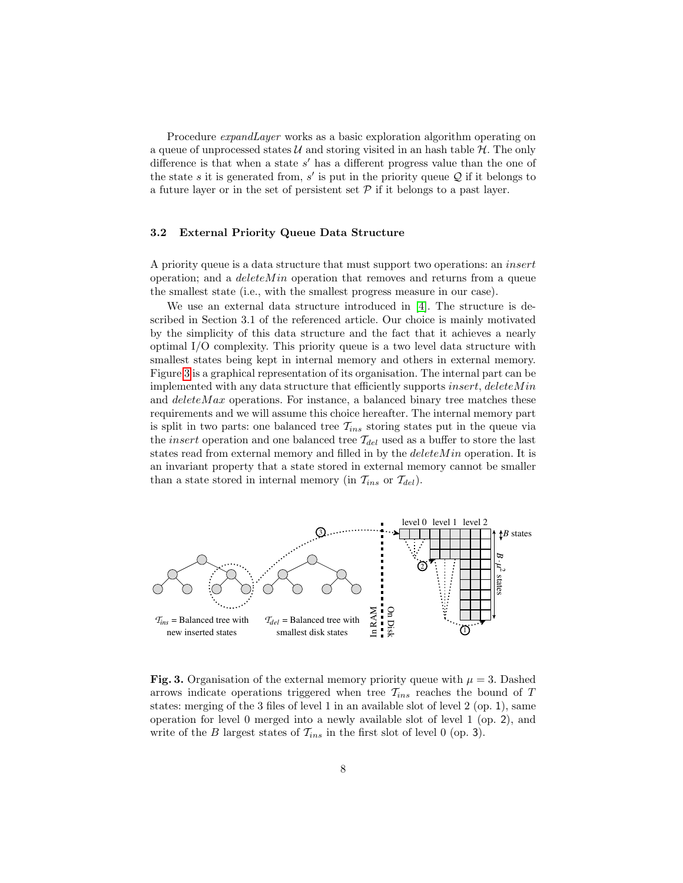Procedure expandLayer works as a basic exploration algorithm operating on a queue of unprocessed states  $\mathcal U$  and storing visited in an hash table  $\mathcal H$ . The only difference is that when a state  $s'$  has a different progress value than the one of the state s it is generated from, s' is put in the priority queue  $Q$  if it belongs to a future layer or in the set of persistent set  $P$  if it belongs to a past layer.

#### <span id="page-7-1"></span>3.2 External Priority Queue Data Structure

A priority queue is a data structure that must support two operations: an insert operation; and a  $deleteMin$  operation that removes and returns from a queue the smallest state (i.e., with the smallest progress measure in our case).

We use an external data structure introduced in [\[4\]](#page-16-7). The structure is described in Section 3.1 of the referenced article. Our choice is mainly motivated by the simplicity of this data structure and the fact that it achieves a nearly optimal I/O complexity. This priority queue is a two level data structure with smallest states being kept in internal memory and others in external memory. Figure [3](#page-7-0) is a graphical representation of its organisation. The internal part can be implemented with any data structure that efficiently supports insert, deleteMin and  $deleteMax$  operations. For instance, a balanced binary tree matches these requirements and we will assume this choice hereafter. The internal memory part is split in two parts: one balanced tree  $\mathcal{T}_{ins}$  storing states put in the queue via the *insert* operation and one balanced tree  $\mathcal{T}_{del}$  used as a buffer to store the last states read from external memory and filled in by the  $deleteMin$  operation. It is an invariant property that a state stored in external memory cannot be smaller than a state stored in internal memory (in  $\mathcal{T}_{ins}$  or  $\mathcal{T}_{del}$ ).



<span id="page-7-0"></span>Fig. 3. Organisation of the external memory priority queue with  $\mu = 3$ . Dashed arrows indicate operations triggered when tree  $\mathcal{T}_{ins}$  reaches the bound of T states: merging of the 3 files of level 1 in an available slot of level 2 (op. 1), same operation for level 0 merged into a newly available slot of level 1 (op. 2), and write of the B largest states of  $\mathcal{T}_{ins}$  in the first slot of level 0 (op. 3).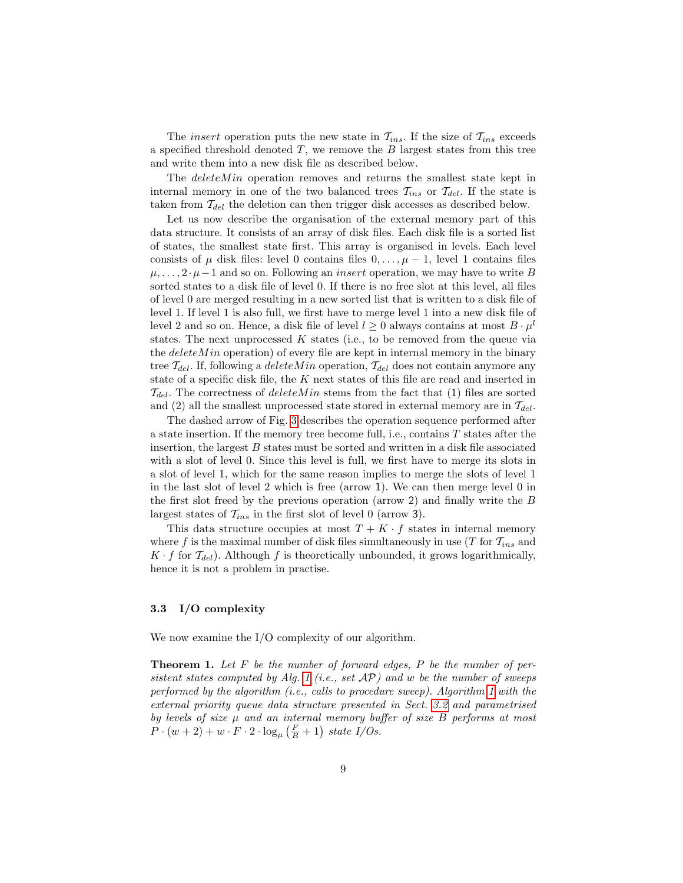The *insert* operation puts the new state in  $\mathcal{T}_{ins}$ . If the size of  $\mathcal{T}_{ins}$  exceeds a specified threshold denoted  $T$ , we remove the  $B$  largest states from this tree and write them into a new disk file as described below.

The *deleteMin* operation removes and returns the smallest state kept in internal memory in one of the two balanced trees  $\mathcal{T}_{ins}$  or  $\mathcal{T}_{del}$ . If the state is taken from  $\mathcal{T}_{del}$  the deletion can then trigger disk accesses as described below.

Let us now describe the organisation of the external memory part of this data structure. It consists of an array of disk files. Each disk file is a sorted list of states, the smallest state first. This array is organised in levels. Each level consists of  $\mu$  disk files: level 0 contains files  $0, \ldots, \mu - 1$ , level 1 contains files  $\mu, \ldots, 2 \cdot \mu - 1$  and so on. Following an *insert* operation, we may have to write B sorted states to a disk file of level 0. If there is no free slot at this level, all files of level 0 are merged resulting in a new sorted list that is written to a disk file of level 1. If level 1 is also full, we first have to merge level 1 into a new disk file of level 2 and so on. Hence, a disk file of level  $l \geq 0$  always contains at most  $B \cdot \mu^l$ states. The next unprocessed  $K$  states (i.e., to be removed from the queue via the  $deleteMin$  operation) of every file are kept in internal memory in the binary tree  $\mathcal{T}_{del}$ . If, following a *deleteMin* operation,  $\mathcal{T}_{del}$  does not contain anymore any state of a specific disk file, the  $K$  next states of this file are read and inserted in  $\mathcal{T}_{del}$ . The correctness of *deleteMin* stems from the fact that (1) files are sorted and (2) all the smallest unprocessed state stored in external memory are in  $\mathcal{T}_{del}$ .

The dashed arrow of Fig. [3](#page-7-0) describes the operation sequence performed after a state insertion. If the memory tree become full, i.e., contains T states after the insertion, the largest  $B$  states must be sorted and written in a disk file associated with a slot of level 0. Since this level is full, we first have to merge its slots in a slot of level 1, which for the same reason implies to merge the slots of level 1 in the last slot of level 2 which is free (arrow 1). We can then merge level 0 in the first slot freed by the previous operation (arrow 2) and finally write the B largest states of  $\mathcal{T}_{ins}$  in the first slot of level 0 (arrow 3).

This data structure occupies at most  $T + K \cdot f$  states in internal memory where f is the maximal number of disk files simultaneously in use (T for  $T_{ins}$  and  $K \cdot f$  for  $\mathcal{T}_{del}$ ). Although f is theoretically unbounded, it grows logarithmically, hence it is not a problem in practise.

#### 3.3 I/O complexity

We now examine the I/O complexity of our algorithm.

**Theorem 1.** Let  $F$  be the number of forward edges,  $P$  be the number of per-sistent states computed by Alg. [1](#page-6-0) (i.e., set  $AP$ ) and w be the number of sweeps performed by the algorithm (i.e., calls to procedure sweep). Algorithm [1](#page-6-0) with the external priority queue data structure presented in Sect. [3.2](#page-7-1) and parametrised by levels of size  $\mu$  and an internal memory buffer of size  $B$  performs at most  $P \cdot (w+2) + w \cdot F \cdot 2 \cdot \log_{\mu} \left(\frac{F}{B} + 1\right)$  state I/Os.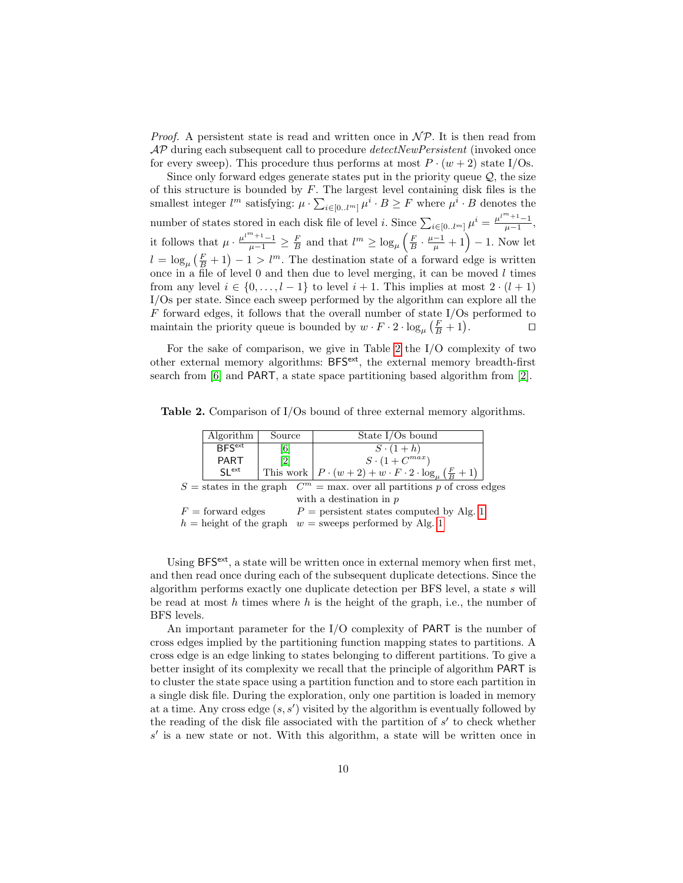*Proof.* A persistent state is read and written once in  $\mathcal{NP}$ . It is then read from  $\mathcal{AP}$  during each subsequent call to procedure *detectNewPersistent* (invoked once for every sweep). This procedure thus performs at most  $P \cdot (w + 2)$  state I/Os.

Since only forward edges generate states put in the priority queue  $Q$ , the size of this structure is bounded by  $F$ . The largest level containing disk files is the smallest integer  $l^m$  satisfying:  $\mu \cdot \sum_{i \in [0..l^m]} \mu^i \cdot B \geq F$  where  $\mu^i \cdot B$  denotes the number of states stored in each disk file of level *i*. Since  $\sum_{i \in [0..l^m]} \mu^i = \frac{\mu^{l^m+1}-1}{\mu-1}$ , it follows that  $\mu \cdot \frac{\mu^{m+1}-1}{\mu-1} \geq \frac{F}{B}$  and that  $l^m \geq \log_{\mu} \left( \frac{F}{B} \cdot \frac{\mu-1}{\mu} + 1 \right) - 1$ . Now let  $l = \log_{\mu} \left( \frac{F}{B} + 1 \right) - 1 > l^m$ . The destination state of a forward edge is written once in a file of level 0 and then due to level merging, it can be moved  $l$  times from any level  $i \in \{0, \ldots, l-1\}$  to level  $i+1$ . This implies at most  $2 \cdot (l+1)$ I/Os per state. Since each sweep performed by the algorithm can explore all the F forward edges, it follows that the overall number of state I/Os performed to maintain the priority queue is bounded by  $w \cdot F \cdot 2 \cdot \log_{\mu} \left( \frac{F}{B} + 1 \right)$  $\Box$ 

For the sake of comparison, we give in Table [2](#page-9-0) the I/O complexity of two other external memory algorithms: BFS<sup>ext</sup>, the external memory breadth-first search from [\[6\]](#page-16-5) and PART, a state space partitioning based algorithm from [\[2\]](#page-16-6).

|                                                                             | Algorithm          | Source | State I/Os bound                                                                                         |  |  |  |
|-----------------------------------------------------------------------------|--------------------|--------|----------------------------------------------------------------------------------------------------------|--|--|--|
|                                                                             | BFS <sub>ext</sub> | 6      | $\overline{S}\cdot(1+h)$                                                                                 |  |  |  |
|                                                                             | PART               | [2]    | $S\cdot(1+C^{max})$                                                                                      |  |  |  |
|                                                                             | SL <sup>ext</sup>  |        | This work $\left  P \cdot (w+2) + w \cdot F \cdot 2 \cdot \log_u \left( \frac{F}{B} + 1 \right) \right $ |  |  |  |
| $S =$ states in the graph $C^m =$ max. over all partitions p of cross edges |                    |        |                                                                                                          |  |  |  |
| with a destination in $p$                                                   |                    |        |                                                                                                          |  |  |  |
| $F =$ forward edges                                                         |                    |        | $P =$ persistent states computed by Alg. 1                                                               |  |  |  |
|                                                                             |                    |        | $h =$ height of the graph $w =$ sweeps performed by Alg. 1                                               |  |  |  |

<span id="page-9-0"></span>Table 2. Comparison of I/Os bound of three external memory algorithms.

Using BFS<sup>ext</sup>, a state will be written once in external memory when first met, and then read once during each of the subsequent duplicate detections. Since the algorithm performs exactly one duplicate detection per BFS level, a state s will be read at most h times where h is the height of the graph, i.e., the number of BFS levels.

An important parameter for the I/O complexity of PART is the number of cross edges implied by the partitioning function mapping states to partitions. A cross edge is an edge linking to states belonging to different partitions. To give a better insight of its complexity we recall that the principle of algorithm PART is to cluster the state space using a partition function and to store each partition in a single disk file. During the exploration, only one partition is loaded in memory at a time. Any cross edge  $(s, s')$  visited by the algorithm is eventually followed by the reading of the disk file associated with the partition of  $s'$  to check whether  $s'$  is a new state or not. With this algorithm, a state will be written once in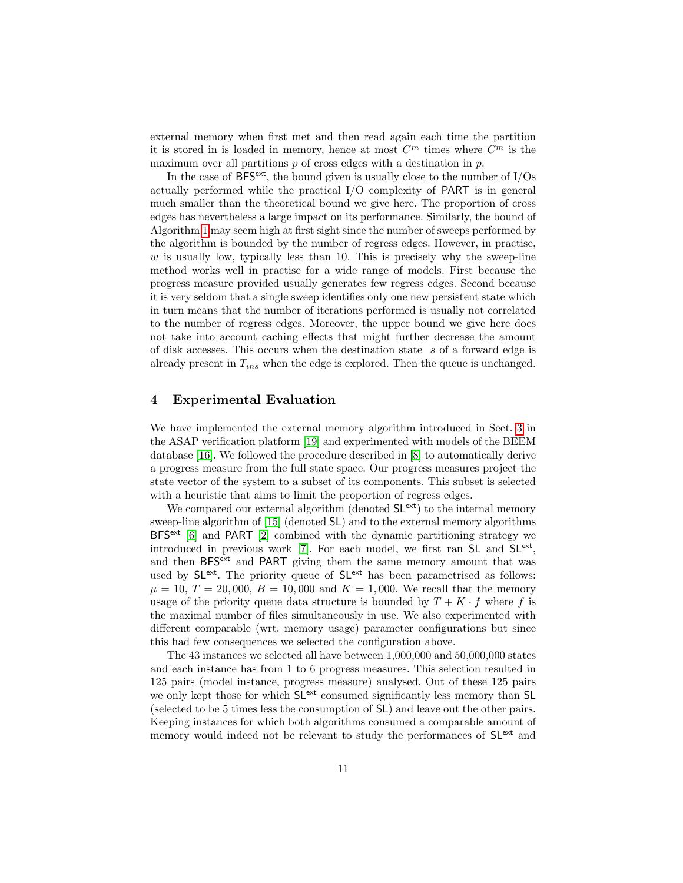external memory when first met and then read again each time the partition it is stored in is loaded in memory, hence at most  $C<sup>m</sup>$  times where  $C<sup>m</sup>$  is the maximum over all partitions  $p$  of cross edges with a destination in  $p$ .

In the case of  $BFS<sup>ext</sup>$ , the bound given is usually close to the number of I/Os actually performed while the practical I/O complexity of PART is in general much smaller than the theoretical bound we give here. The proportion of cross edges has nevertheless a large impact on its performance. Similarly, the bound of Algorithm [1](#page-6-0) may seem high at first sight since the number of sweeps performed by the algorithm is bounded by the number of regress edges. However, in practise,  $w$  is usually low, typically less than 10. This is precisely why the sweep-line method works well in practise for a wide range of models. First because the progress measure provided usually generates few regress edges. Second because it is very seldom that a single sweep identifies only one new persistent state which in turn means that the number of iterations performed is usually not correlated to the number of regress edges. Moreover, the upper bound we give here does not take into account caching effects that might further decrease the amount of disk accesses. This occurs when the destination state  $s$  of a forward edge is already present in  $T_{ins}$  when the edge is explored. Then the queue is unchanged.

# <span id="page-10-0"></span>4 Experimental Evaluation

We have implemented the external memory algorithm introduced in Sect. [3](#page-5-0) in the ASAP verification platform [\[19\]](#page-17-2) and experimented with models of the BEEM database [\[16\]](#page-17-6). We followed the procedure described in [\[8\]](#page-16-9) to automatically derive a progress measure from the full state space. Our progress measures project the state vector of the system to a subset of its components. This subset is selected with a heuristic that aims to limit the proportion of regress edges.

We compared our external algorithm (denoted  $SL<sup>ext</sup>$ ) to the internal memory sweep-line algorithm of [\[15\]](#page-17-1) (denoted SL) and to the external memory algorithms  $BFS<sup>ext</sup>$  [\[6\]](#page-16-5) and PART [\[2\]](#page-16-6) combined with the dynamic partitioning strategy we introduced in previous work [\[7\]](#page-16-10). For each model, we first ran  $SL$  and  $SL<sup>ext</sup>$ , and then BFS<sup>ext</sup> and PART giving them the same memory amount that was used by  $SL<sup>ext</sup>$ . The priority queue of  $SL<sup>ext</sup>$  has been parametrised as follows:  $\mu = 10, T = 20,000, B = 10,000$  and  $K = 1,000$ . We recall that the memory usage of the priority queue data structure is bounded by  $T + K \cdot f$  where f is the maximal number of files simultaneously in use. We also experimented with different comparable (wrt. memory usage) parameter configurations but since this had few consequences we selected the configuration above.

The 43 instances we selected all have between 1,000,000 and 50,000,000 states and each instance has from 1 to 6 progress measures. This selection resulted in 125 pairs (model instance, progress measure) analysed. Out of these 125 pairs we only kept those for which  $SL<sup>ext</sup>$  consumed significantly less memory than SL (selected to be 5 times less the consumption of SL) and leave out the other pairs. Keeping instances for which both algorithms consumed a comparable amount of memory would indeed not be relevant to study the performances of  $SL<sup>ext</sup>$  and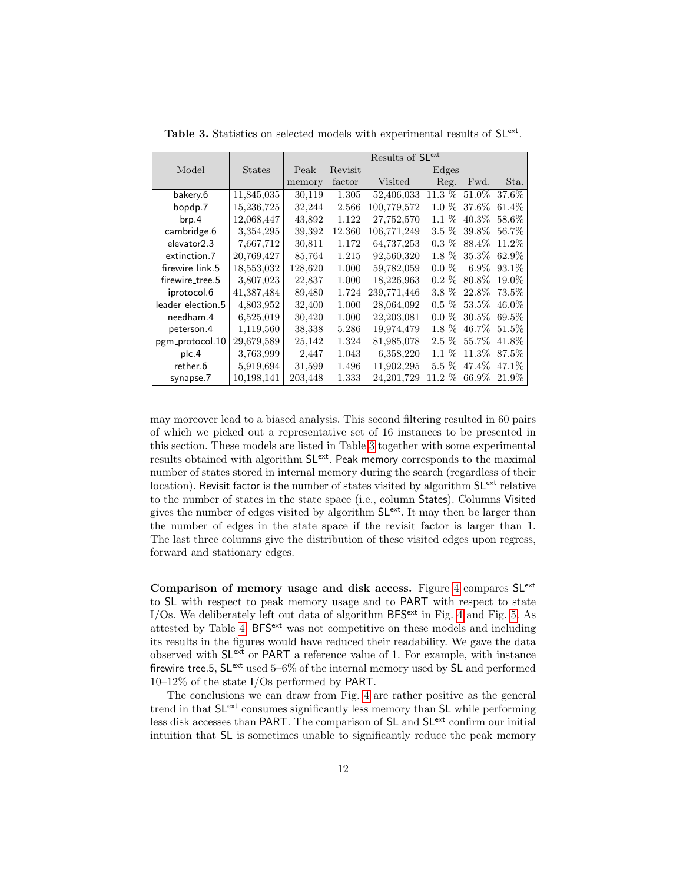|                      |               | Results of SL <sup>ext</sup> |         |              |             |          |          |
|----------------------|---------------|------------------------------|---------|--------------|-------------|----------|----------|
| Model                | <b>States</b> | Peak                         | Revisit |              | Edges       |          |          |
|                      |               | memory                       | factor  | Visited      | Reg.        | Fwd.     | Sta.     |
| bakery.6             | 11,845,035    | 30,119                       | 1.305   | 52,406,033   | $11.3\%$    | 51.0%    | 37.6%    |
| bopdp.7              | 15,236,725    | 32,244                       | 2.566   | 100,779,572  | $1.0\%$     | 37.6%    | 61.4\%   |
| brp.4                | 12,068,447    | 43,892                       | 1.122   | 27,752,570   | $1.1\%$     | $40.3\%$ | 58.6%    |
| cambridge.6          | 3,354,295     | 39,392                       | 12.360  | 106,771,249  | $3.5\%$     | 39.8%    | 56.7%    |
| elevator2.3          | 7,667,712     | 30,811                       | 1.172   | 64,737,253   | $0.3\%$     | 88.4\%   | $11.2\%$ |
| extinction.7         | 20,769,427    | 85,764                       | 1.215   | 92,560,320   | $1.8\%$     | 35.3%    | 62.9%    |
| firewire_link.5      | 18,553,032    | 128,620                      | 1.000   | 59,782,059   | $0.0\%$     | $6.9\%$  | 93.1\%   |
| firewire_tree.5      | 3,807,023     | 22,837                       | 1.000   | 18,226,963   | $0.2\%$     | 80.8%    | 19.0%    |
| iprotocol.6          | 41,387,484    | 89,480                       | 1.724   | 239,771,446  | $3.8\%$     | 22.8%    | 73.5%    |
| leader_election.5    | 4,803,952     | 32,400                       | 1.000   | 28,064,092   | $0.5\%$     | 53.5%    | $46.0\%$ |
| needham.4            | 6,525,019     | 30,420                       | 1.000   | 22,203,081   | $0.0 \%$    | 30.5%    | $69.5\%$ |
| peterson.4           | 1,119,560     | 38,338                       | 5.286   | 19,974,479   | $1.8\%$     | 46.7%    | $51.5\%$ |
| pgm_protocol.10      | 29,679,589    | 25,142                       | 1.324   | 81,985,078   | $2.5\%$     | 55.7%    | 41.8%    |
| $p$ <sub>c</sub> $4$ | 3,763,999     | 2,447                        | 1.043   | 6,358,220    | $\%$<br>1.1 | $11.3\%$ | 87.5%    |
| rether.6             | 5,919,694     | 31,599                       | 1.496   | 11,902,295   | $5.5\%$     | 47.4%    | 47.1\%   |
| synapse.7            | 10,198,141    | 203,448                      | 1.333   | 24, 201, 729 | $11.2\%$    | 66.9%    | 21.9%    |

<span id="page-11-0"></span>Table 3. Statistics on selected models with experimental results of SL<sup>ext</sup>.

may moreover lead to a biased analysis. This second filtering resulted in 60 pairs of which we picked out a representative set of 16 instances to be presented in this section. These models are listed in Table [3](#page-11-0) together with some experimental results obtained with algorithm  $SL<sup>ext</sup>$ . Peak memory corresponds to the maximal number of states stored in internal memory during the search (regardless of their location). Revisit factor is the number of states visited by algorithm  $SL<sup>ext</sup>$  relative to the number of states in the state space (i.e., column States). Columns Visited gives the number of edges visited by algorithm  $SL<sup>ext</sup>$ . It may then be larger than the number of edges in the state space if the revisit factor is larger than 1. The last three columns give the distribution of these visited edges upon regress, forward and stationary edges.

Comparison of memory usage and disk access. Figure [4](#page-12-0) compares SL<sup>ext</sup> to SL with respect to peak memory usage and to PART with respect to state I/Os. We deliberately left out data of algorithm  $BFS<sup>ext</sup>$  in Fig. [4](#page-12-0) and Fig. [5.](#page-14-0) As attested by Table [4,](#page-15-1) BFSext was not competitive on these models and including its results in the figures would have reduced their readability. We gave the data observed with SLext or PART a reference value of 1. For example, with instance firewire tree.5, SL<sup>ext</sup> used 5–6% of the internal memory used by SL and performed 10–12% of the state I/Os performed by PART.

The conclusions we can draw from Fig. [4](#page-12-0) are rather positive as the general trend in that  $SL<sup>ext</sup>$  consumes significantly less memory than SL while performing less disk accesses than PART. The comparison of  $SL$  and  $SL<sup>ext</sup>$  confirm our initial intuition that SL is sometimes unable to significantly reduce the peak memory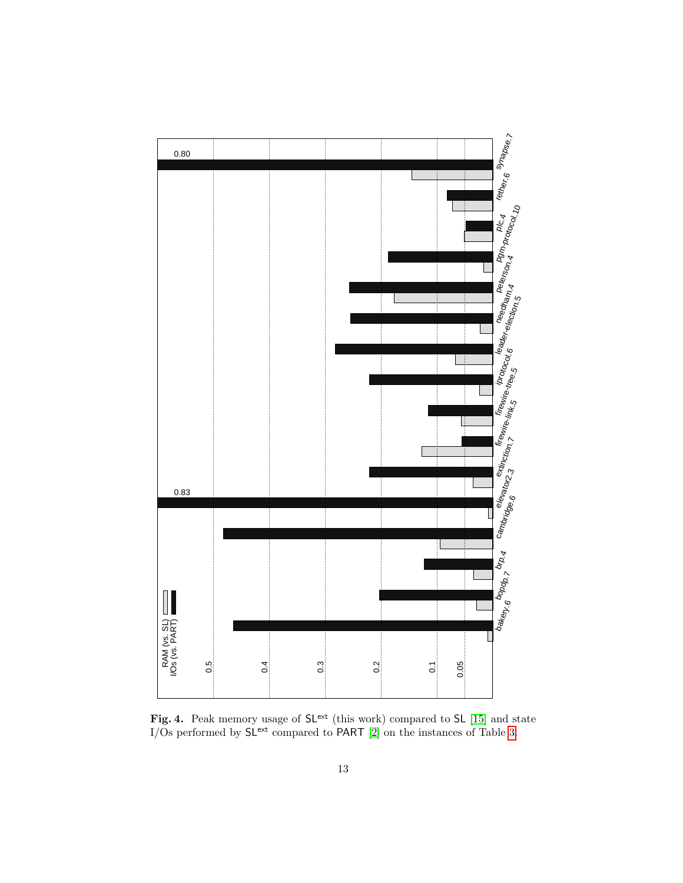

<span id="page-12-0"></span>Fig. 4. Peak memory usage of  $SL<sup>ext</sup>$  (this work) compared to SL [\[15\]](#page-17-1) and state I/Os performed by  $SL<sup>ext</sup>$  compared to PART [\[2\]](#page-16-6) on the instances of Table [3.](#page-11-0)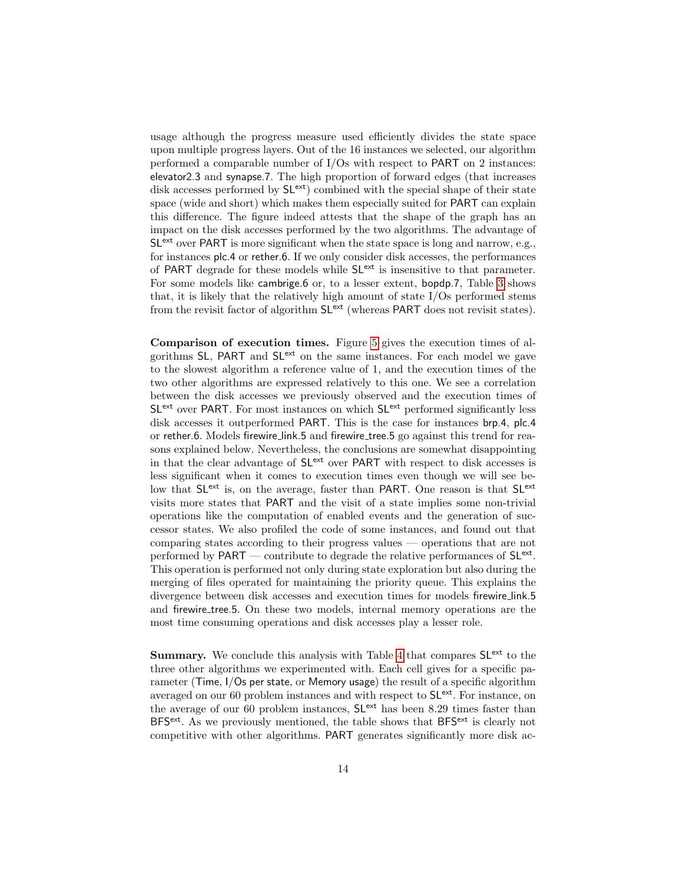usage although the progress measure used efficiently divides the state space upon multiple progress layers. Out of the 16 instances we selected, our algorithm performed a comparable number of I/Os with respect to PART on 2 instances: elevator2.3 and synapse.7. The high proportion of forward edges (that increases disk accesses performed by  $SL<sup>ext</sup>$  combined with the special shape of their state space (wide and short) which makes them especially suited for PART can explain this difference. The figure indeed attests that the shape of the graph has an impact on the disk accesses performed by the two algorithms. The advantage of SL<sup>ext</sup> over PART is more significant when the state space is long and narrow, e.g., for instances plc.4 or rether.6. If we only consider disk accesses, the performances of PART degrade for these models while SLext is insensitive to that parameter. For some models like cambrige.6 or, to a lesser extent, bopdp.7, Table [3](#page-11-0) shows that, it is likely that the relatively high amount of state I/Os performed stems from the revisit factor of algorithm  $SL<sup>ext</sup>$  (whereas PART does not revisit states).

Comparison of execution times. Figure [5](#page-14-0) gives the execution times of algorithms SL, PART and SL<sup>ext</sup> on the same instances. For each model we gave to the slowest algorithm a reference value of 1, and the execution times of the two other algorithms are expressed relatively to this one. We see a correlation between the disk accesses we previously observed and the execution times of SL<sup>ext</sup> over PART. For most instances on which SL<sup>ext</sup> performed significantly less disk accesses it outperformed PART. This is the case for instances brp.4, plc.4 or rether.6. Models firewire link.5 and firewire tree.5 go against this trend for reasons explained below. Nevertheless, the conclusions are somewhat disappointing in that the clear advantage of  $SL<sup>ext</sup>$  over PART with respect to disk accesses is less significant when it comes to execution times even though we will see below that  $SL<sup>ext</sup>$  is, on the average, faster than PART. One reason is that  $SL<sup>ext</sup>$ visits more states that PART and the visit of a state implies some non-trivial operations like the computation of enabled events and the generation of successor states. We also profiled the code of some instances, and found out that comparing states according to their progress values — operations that are not performed by  $\mathsf{PART}$  — contribute to degrade the relative performances of  $\mathsf{SL}^{\mathsf{ext}}$ . This operation is performed not only during state exploration but also during the merging of files operated for maintaining the priority queue. This explains the divergence between disk accesses and execution times for models firewire link.5 and firewire tree.5. On these two models, internal memory operations are the most time consuming operations and disk accesses play a lesser role.

Summary. We conclude this analysis with Table [4](#page-15-1) that compares  $SL<sup>ext</sup>$  to the three other algorithms we experimented with. Each cell gives for a specific parameter (Time, I/Os per state, or Memory usage) the result of a specific algorithm averaged on our 60 problem instances and with respect to  $SL<sup>ext</sup>$ . For instance, on the average of our 60 problem instances,  $SL<sup>ext</sup>$  has been 8.29 times faster than BFSext. As we previously mentioned, the table shows that BFSext is clearly not competitive with other algorithms. PART generates significantly more disk ac-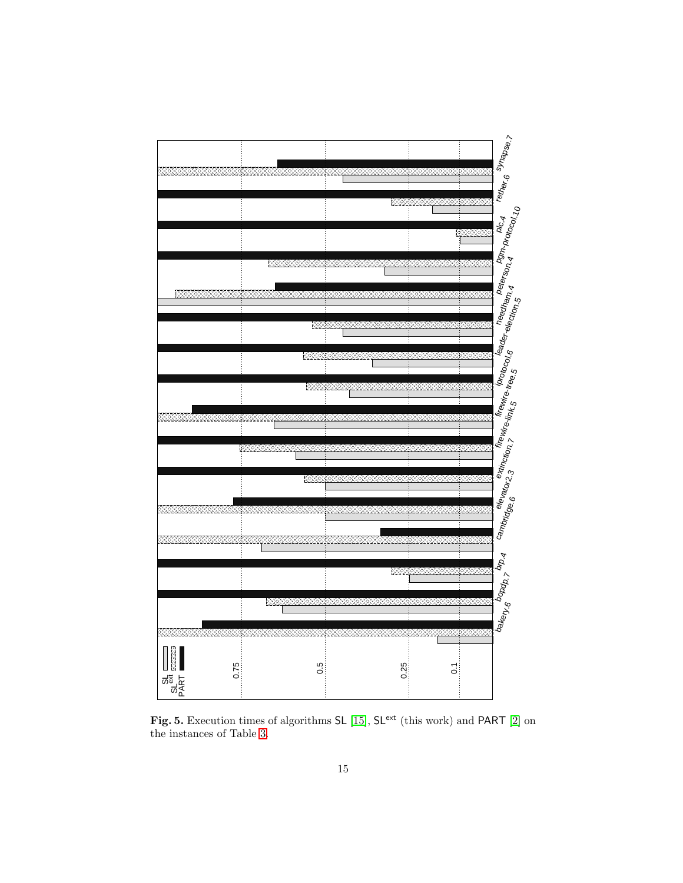

<span id="page-14-0"></span>Fig. 5. Execution times of algorithms SL [\[15\]](#page-17-1),  $\mathsf{SL}^\mathrm{ext}$  (this work) and PART [\[2\]](#page-16-6) on the instances of Table [3.](#page-11-0)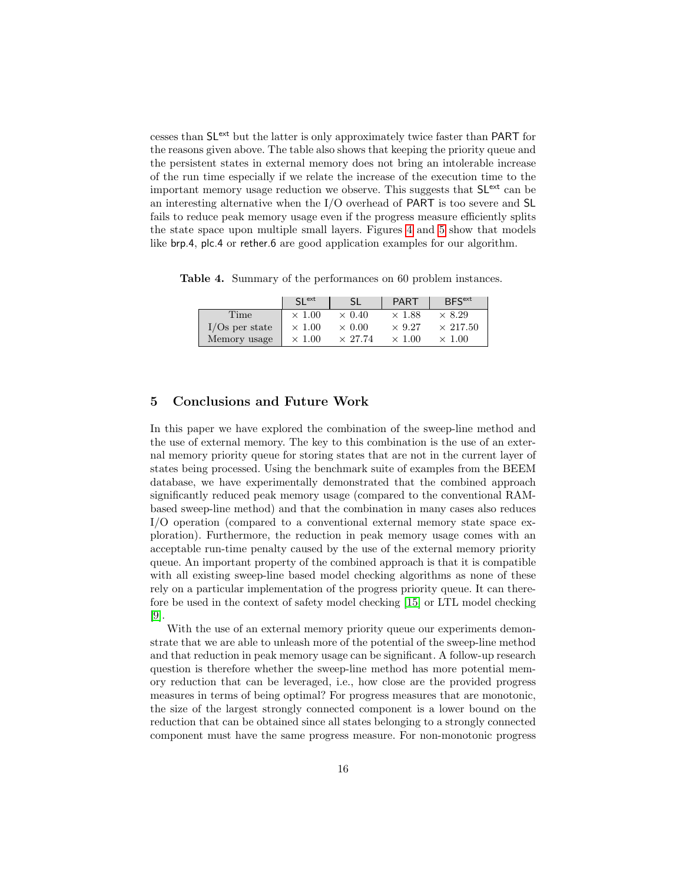cesses than SLext but the latter is only approximately twice faster than PART for the reasons given above. The table also shows that keeping the priority queue and the persistent states in external memory does not bring an intolerable increase of the run time especially if we relate the increase of the execution time to the important memory usage reduction we observe. This suggests that  $SL<sup>ext</sup>$  can be an interesting alternative when the I/O overhead of PART is too severe and SL fails to reduce peak memory usage even if the progress measure efficiently splits the state space upon multiple small layers. Figures [4](#page-12-0) and [5](#page-14-0) show that models like brp.4, plc.4 or rether.6 are good application examples for our algorithm.

<span id="page-15-1"></span>Table 4. Summary of the performances on 60 problem instances.

|                  | $C1$ ext      |                | <b>PART</b>   | BFS <sub>ext</sub> |
|------------------|---------------|----------------|---------------|--------------------|
| Time             | $\times$ 1.00 | $\times$ 0.40  | $\times$ 1.88 | $\times$ 8.29      |
| $I/Os$ per state | $\times$ 1.00 | $\times$ 0.00  | $\times$ 9.27 | $\times$ 217.50    |
| Memory usage     | $\times$ 1.00 | $\times$ 27.74 | $\times$ 1.00 | $\times$ 1.00      |

# <span id="page-15-0"></span>5 Conclusions and Future Work

In this paper we have explored the combination of the sweep-line method and the use of external memory. The key to this combination is the use of an external memory priority queue for storing states that are not in the current layer of states being processed. Using the benchmark suite of examples from the BEEM database, we have experimentally demonstrated that the combined approach significantly reduced peak memory usage (compared to the conventional RAMbased sweep-line method) and that the combination in many cases also reduces I/O operation (compared to a conventional external memory state space exploration). Furthermore, the reduction in peak memory usage comes with an acceptable run-time penalty caused by the use of the external memory priority queue. An important property of the combined approach is that it is compatible with all existing sweep-line based model checking algorithms as none of these rely on a particular implementation of the progress priority queue. It can therefore be used in the context of safety model checking [\[15\]](#page-17-1) or LTL model checking [\[9\]](#page-16-11).

With the use of an external memory priority queue our experiments demonstrate that we are able to unleash more of the potential of the sweep-line method and that reduction in peak memory usage can be significant. A follow-up research question is therefore whether the sweep-line method has more potential memory reduction that can be leveraged, i.e., how close are the provided progress measures in terms of being optimal? For progress measures that are monotonic, the size of the largest strongly connected component is a lower bound on the reduction that can be obtained since all states belonging to a strongly connected component must have the same progress measure. For non-monotonic progress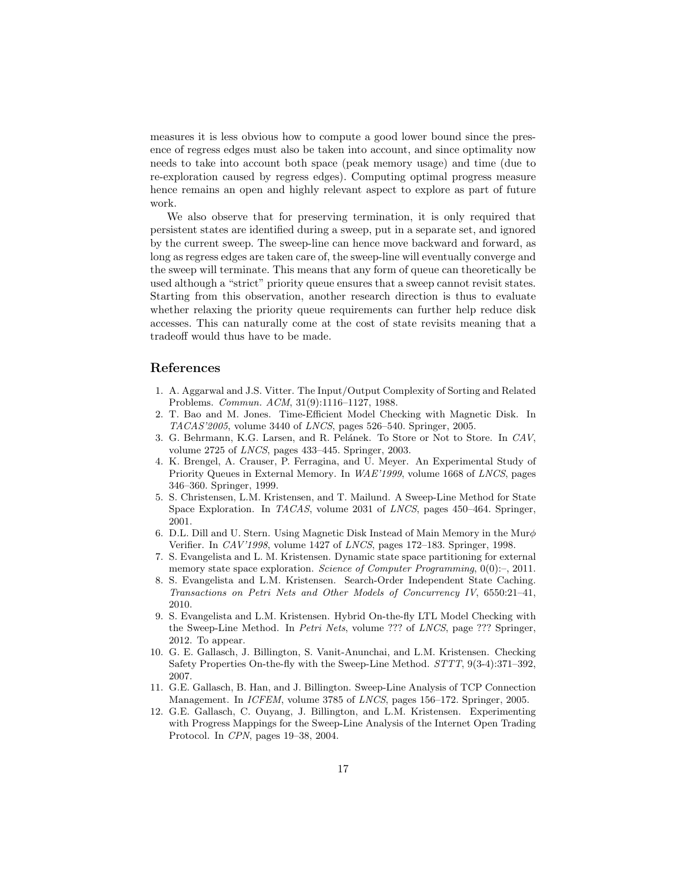measures it is less obvious how to compute a good lower bound since the presence of regress edges must also be taken into account, and since optimality now needs to take into account both space (peak memory usage) and time (due to re-exploration caused by regress edges). Computing optimal progress measure hence remains an open and highly relevant aspect to explore as part of future work.

We also observe that for preserving termination, it is only required that persistent states are identified during a sweep, put in a separate set, and ignored by the current sweep. The sweep-line can hence move backward and forward, as long as regress edges are taken care of, the sweep-line will eventually converge and the sweep will terminate. This means that any form of queue can theoretically be used although a "strict" priority queue ensures that a sweep cannot revisit states. Starting from this observation, another research direction is thus to evaluate whether relaxing the priority queue requirements can further help reduce disk accesses. This can naturally come at the cost of state revisits meaning that a tradeoff would thus have to be made.

# References

- <span id="page-16-8"></span>1. A. Aggarwal and J.S. Vitter. The Input/Output Complexity of Sorting and Related Problems. Commun. ACM, 31(9):1116–1127, 1988.
- <span id="page-16-6"></span>2. T. Bao and M. Jones. Time-Efficient Model Checking with Magnetic Disk. In TACAS'2005, volume 3440 of LNCS, pages 526–540. Springer, 2005.
- <span id="page-16-0"></span>3. G. Behrmann, K.G. Larsen, and R. Pelánek. To Store or Not to Store. In CAV, volume 2725 of LNCS, pages 433–445. Springer, 2003.
- <span id="page-16-7"></span>4. K. Brengel, A. Crauser, P. Ferragina, and U. Meyer. An Experimental Study of Priority Queues in External Memory. In WAE'1999, volume 1668 of LNCS, pages 346–360. Springer, 1999.
- <span id="page-16-1"></span>5. S. Christensen, L.M. Kristensen, and T. Mailund. A Sweep-Line Method for State Space Exploration. In TACAS, volume 2031 of LNCS, pages 450–464. Springer, 2001.
- <span id="page-16-5"></span>6. D.L. Dill and U. Stern. Using Magnetic Disk Instead of Main Memory in the Murφ Verifier. In CAV'1998, volume 1427 of LNCS, pages 172–183. Springer, 1998.
- <span id="page-16-10"></span>7. S. Evangelista and L. M. Kristensen. Dynamic state space partitioning for external memory state space exploration. Science of Computer Programming,  $0(0)$ :-, 2011.
- <span id="page-16-9"></span>8. S. Evangelista and L.M. Kristensen. Search-Order Independent State Caching. Transactions on Petri Nets and Other Models of Concurrency IV, 6550:21–41, 2010.
- <span id="page-16-11"></span>9. S. Evangelista and L.M. Kristensen. Hybrid On-the-fly LTL Model Checking with the Sweep-Line Method. In Petri Nets, volume ??? of LNCS, page ??? Springer, 2012. To appear.
- <span id="page-16-2"></span>10. G. E. Gallasch, J. Billington, S. Vanit-Anunchai, and L.M. Kristensen. Checking Safety Properties On-the-fly with the Sweep-Line Method. STTT, 9(3-4):371–392, 2007.
- <span id="page-16-3"></span>11. G.E. Gallasch, B. Han, and J. Billington. Sweep-Line Analysis of TCP Connection Management. In ICFEM, volume 3785 of LNCS, pages 156–172. Springer, 2005.
- <span id="page-16-4"></span>12. G.E. Gallasch, C. Ouyang, J. Billington, and L.M. Kristensen. Experimenting with Progress Mappings for the Sweep-Line Analysis of the Internet Open Trading Protocol. In CPN, pages 19–38, 2004.